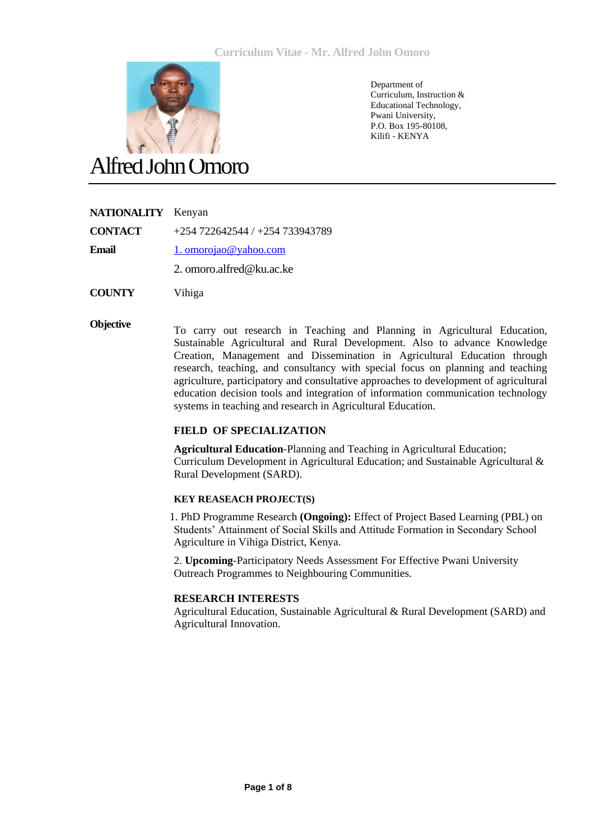

Department of Curriculum, Instruction & Educational Technology, Pwani University, P.O. Box 195-80108, Kilifi - KENYA

# Alfred John Omoro

#### **NATIONALITY** Kenyan

**CONTACT** +254 722642544 / +254 733943789

**Email** [1. omorojao@yahoo.com](mailto:1.%20omorojao@yahoo.com)

2. omoro.alfred@ku.ac.ke

**COUNTY** Vihiga

**Objective** To carry out research in Teaching and Planning in Agricultural Education, Sustainable Agricultural and Rural Development. Also to advance Knowledge Creation, Management and Dissemination in Agricultural Education through research, teaching, and consultancy with special focus on planning and teaching agriculture, participatory and consultative approaches to development of agricultural education decision tools and integration of information communication technology systems in teaching and research in Agricultural Education.

#### **FIELD OF SPECIALIZATION**

**Agricultural Education**-Planning and Teaching in Agricultural Education; Curriculum Development in Agricultural Education; and Sustainable Agricultural & Rural Development (SARD).

#### **KEY REASEACH PROJECT(S)**

1. PhD Programme Research (**Ongoing**): Effect of Project Based Learning (PBL) on Students' Attainment of Social Skills and Attitude Formation in Secondary School Agriculture in Vihiga District, Kenya.

2. **Upcoming**-Participatory Needs Assessment For Effective Pwani University Outreach Programmes to Neighbouring Communities.

#### **RESEARCH INTERESTS**

Agricultural Education, Sustainable Agricultural & Rural Development (SARD) and Agricultural Innovation.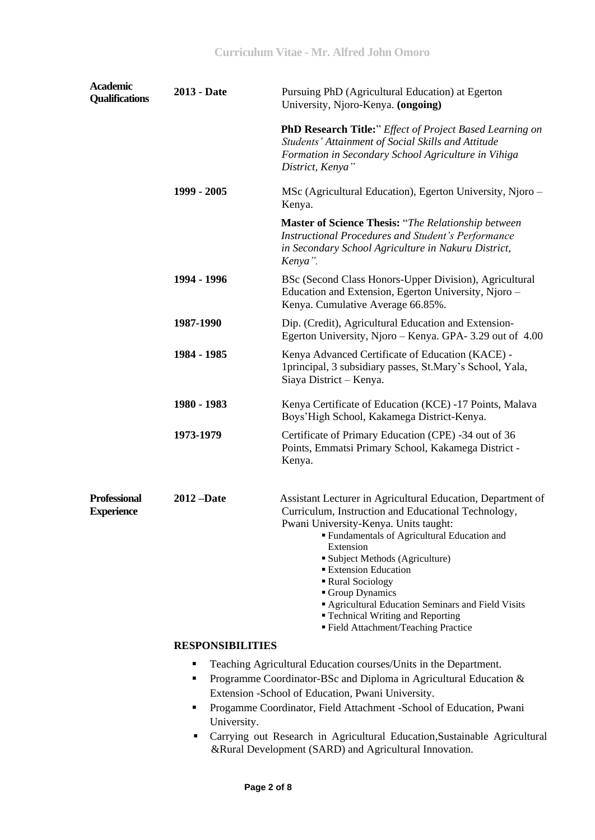| <b>Academic</b><br><b>Qualifications</b> | 2013 - Date             | Pursuing PhD (Agricultural Education) at Egerton<br>University, Njoro-Kenya. (ongoing)                                                                                                                                                                                                                                                                                                                                                                               |
|------------------------------------------|-------------------------|----------------------------------------------------------------------------------------------------------------------------------------------------------------------------------------------------------------------------------------------------------------------------------------------------------------------------------------------------------------------------------------------------------------------------------------------------------------------|
|                                          |                         | PhD Research Title:" Effect of Project Based Learning on<br>Students' Attainment of Social Skills and Attitude<br>Formation in Secondary School Agriculture in Vihiga<br>District, Kenya"                                                                                                                                                                                                                                                                            |
|                                          | 1999 - 2005             | MSc (Agricultural Education), Egerton University, Njoro –<br>Kenya.                                                                                                                                                                                                                                                                                                                                                                                                  |
|                                          |                         | <b>Master of Science Thesis:</b> "The Relationship between<br><b>Instructional Procedures and Student's Performance</b><br>in Secondary School Agriculture in Nakuru District,<br>Kenya".                                                                                                                                                                                                                                                                            |
|                                          | 1994 - 1996             | BSc (Second Class Honors-Upper Division), Agricultural<br>Education and Extension, Egerton University, Njoro -<br>Kenya. Cumulative Average 66.85%.                                                                                                                                                                                                                                                                                                                  |
|                                          | 1987-1990               | Dip. (Credit), Agricultural Education and Extension-<br>Egerton University, Njoro – Kenya. GPA-3.29 out of 4.00                                                                                                                                                                                                                                                                                                                                                      |
|                                          | 1984 - 1985             | Kenya Advanced Certificate of Education (KACE) -<br>1 principal, 3 subsidiary passes, St.Mary's School, Yala,<br>Siaya District - Kenya.                                                                                                                                                                                                                                                                                                                             |
|                                          | 1980 - 1983             | Kenya Certificate of Education (KCE) -17 Points, Malava<br>Boys'High School, Kakamega District-Kenya.                                                                                                                                                                                                                                                                                                                                                                |
|                                          | 1973-1979               | Certificate of Primary Education (CPE) -34 out of 36<br>Points, Emmatsi Primary School, Kakamega District -<br>Kenya.                                                                                                                                                                                                                                                                                                                                                |
| <b>Professional</b><br><b>Experience</b> | $2012 - Date$           | Assistant Lecturer in Agricultural Education, Department of<br>Curriculum, Instruction and Educational Technology,<br>Pwani University-Kenya. Units taught:<br>" Fundamentals of Agricultural Education and<br>Extension<br><b>Subject Methods (Agriculture)</b><br><b>Extension Education</b><br>Rural Sociology<br>Group Dynamics<br>Agricultural Education Seminars and Field Visits<br>" Technical Writing and Reporting<br>■ Field Attachment/Teaching Practice |
|                                          | <b>RESPONSIBILITIES</b> |                                                                                                                                                                                                                                                                                                                                                                                                                                                                      |

- Teaching Agricultural Education courses/Units in the Department.
- **Programme Coordinator-BSc and Diploma in Agricultural Education &** Extension -School of Education, Pwani University.
- Progamme Coordinator, Field Attachment -School of Education, Pwani University.
- Carrying out Research in Agricultural Education,Sustainable Agricultural &Rural Development (SARD) and Agricultural Innovation.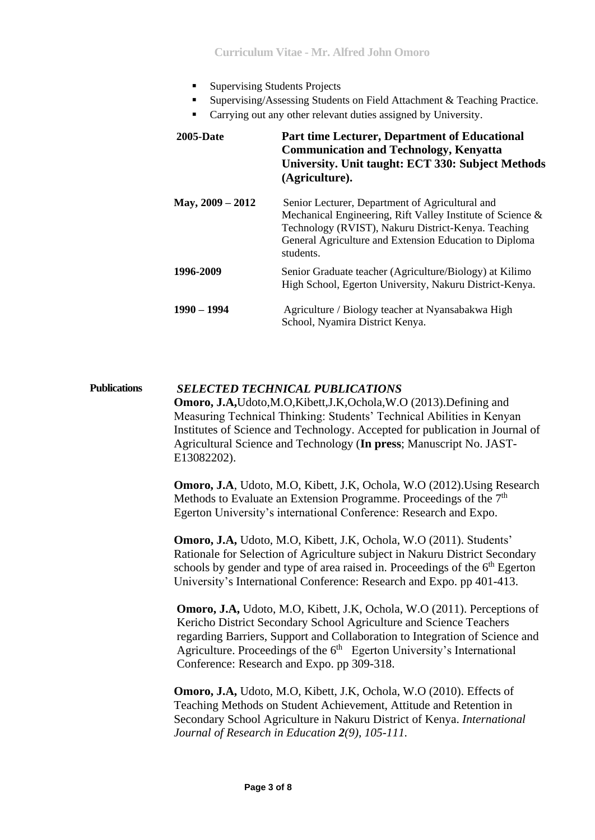- Supervising Students Projects
- Supervising/Assessing Students on Field Attachment & Teaching Practice.
- Carrying out any other relevant duties assigned by University.

| <b>2005-Date</b>   | <b>Part time Lecturer, Department of Educational</b><br><b>Communication and Technology, Kenyatta</b><br>University. Unit taught: ECT 330: Subject Methods<br>(Agriculture).                                                                |
|--------------------|---------------------------------------------------------------------------------------------------------------------------------------------------------------------------------------------------------------------------------------------|
| May, $2009 - 2012$ | Senior Lecturer, Department of Agricultural and<br>Mechanical Engineering, Rift Valley Institute of Science &<br>Technology (RVIST), Nakuru District-Kenya. Teaching<br>General Agriculture and Extension Education to Diploma<br>students. |
| 1996-2009          | Senior Graduate teacher (Agriculture/Biology) at Kilimo<br>High School, Egerton University, Nakuru District-Kenya.                                                                                                                          |
| $1990 - 1994$      | Agriculture / Biology teacher at Nyansabakwa High<br>School, Nyamira District Kenya.                                                                                                                                                        |

## **Publications** *SELECTED TECHNICAL PUBLICATIONS*

**Omoro, J.A,**Udoto,M.O,Kibett,J.K,Ochola,W.O (2013).Defining and Measuring Technical Thinking: Students' Technical Abilities in Kenyan Institutes of Science and Technology. Accepted for publication in Journal of Agricultural Science and Technology (**In press**; Manuscript No. JAST-E13082202).

**Omoro, J.A**, Udoto, M.O, Kibett, J.K, Ochola, W.O (2012).Using Research Methods to Evaluate an Extension Programme. Proceedings of the  $7<sup>th</sup>$ Egerton University's international Conference: Research and Expo.

**Omoro, J.A,** Udoto, M.O, Kibett, J.K, Ochola, W.O (2011). Students' Rationale for Selection of Agriculture subject in Nakuru District Secondary schools by gender and type of area raised in. Proceedings of the  $6<sup>th</sup>$  Egerton University's International Conference: Research and Expo. pp 401-413.

**Omoro, J.A,** Udoto, M.O, Kibett, J.K, Ochola, W.O (2011). Perceptions of Kericho District Secondary School Agriculture and Science Teachers regarding Barriers, Support and Collaboration to Integration of Science and Agriculture. Proceedings of the 6<sup>th</sup> Egerton University's International Conference: Research and Expo. pp 309-318.

**Omoro, J.A,** Udoto, M.O, Kibett, J.K, Ochola, W.O (2010). Effects of Teaching Methods on Student Achievement, Attitude and Retention in Secondary School Agriculture in Nakuru District of Kenya. *International Journal of Research in Education 2(9), 105-111.*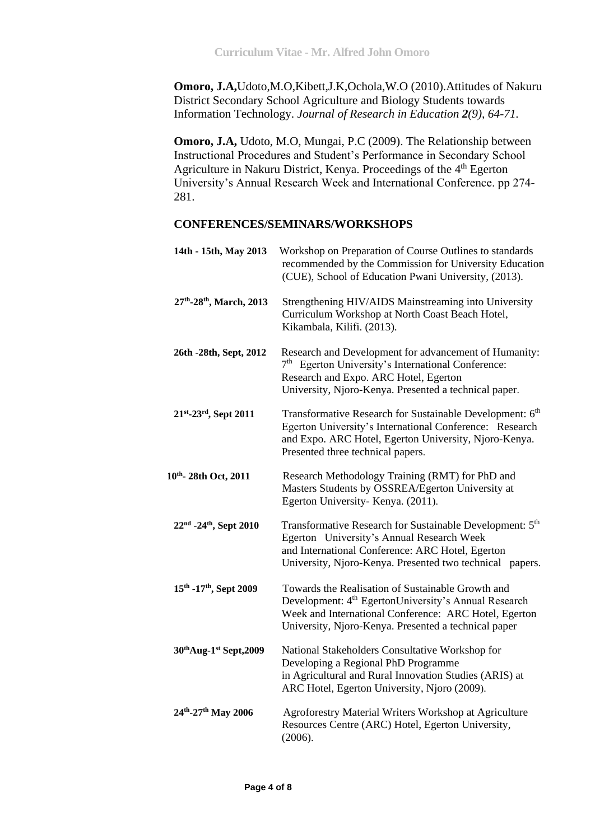**Omoro, J.A,**Udoto,M.O,Kibett,J.K,Ochola,W.O (2010).Attitudes of Nakuru District Secondary School Agriculture and Biology Students towards Information Technology. *Journal of Research in Education 2(9), 64-71.*

**Omoro, J.A,** Udoto, M.O, Mungai, P.C (2009). The Relationship between Instructional Procedures and Student's Performance in Secondary School Agriculture in Nakuru District, Kenya. Proceedings of the 4<sup>th</sup> Egerton University's Annual Research Week and International Conference. pp 274- 281.

### **CONFERENCES/SEMINARS/WORKSHOPS**

| 14th - 15th, May 2013   | Workshop on Preparation of Course Outlines to standards<br>recommended by the Commission for University Education<br>(CUE), School of Education Pwani University, (2013).                                                              |
|-------------------------|----------------------------------------------------------------------------------------------------------------------------------------------------------------------------------------------------------------------------------------|
| 27th-28th, March, 2013  | Strengthening HIV/AIDS Mainstreaming into University<br>Curriculum Workshop at North Coast Beach Hotel,<br>Kikambala, Kilifi. (2013).                                                                                                  |
| 26th -28th, Sept, 2012  | Research and Development for advancement of Humanity:<br>7 <sup>th</sup> Egerton University's International Conference:<br>Research and Expo. ARC Hotel, Egerton<br>University, Njoro-Kenya. Presented a technical paper.              |
| 21st-23rd, Sept 2011    | Transformative Research for Sustainable Development: 6 <sup>th</sup><br>Egerton University's International Conference: Research<br>and Expo. ARC Hotel, Egerton University, Njoro-Kenya.<br>Presented three technical papers.          |
| 10th - 28th Oct, 2011   | Research Methodology Training (RMT) for PhD and<br>Masters Students by OSSREA/Egerton University at<br>Egerton University- Kenya. (2011).                                                                                              |
| 22nd -24th, Sept 2010   | Transformative Research for Sustainable Development: 5 <sup>th</sup><br>Egerton University's Annual Research Week<br>and International Conference: ARC Hotel, Egerton<br>University, Njoro-Kenya. Presented two technical papers.      |
| 15th -17th, Sept 2009   | Towards the Realisation of Sustainable Growth and<br>Development: 4 <sup>th</sup> EgertonUniversity's Annual Research<br>Week and International Conference: ARC Hotel, Egerton<br>University, Njoro-Kenya. Presented a technical paper |
| 30th Aug-1st Sept, 2009 | National Stakeholders Consultative Workshop for<br>Developing a Regional PhD Programme<br>in Agricultural and Rural Innovation Studies (ARIS) at<br>ARC Hotel, Egerton University, Njoro (2009).                                       |
| 24th-27th May 2006      | Agroforestry Material Writers Workshop at Agriculture<br>Resources Centre (ARC) Hotel, Egerton University,<br>(2006).                                                                                                                  |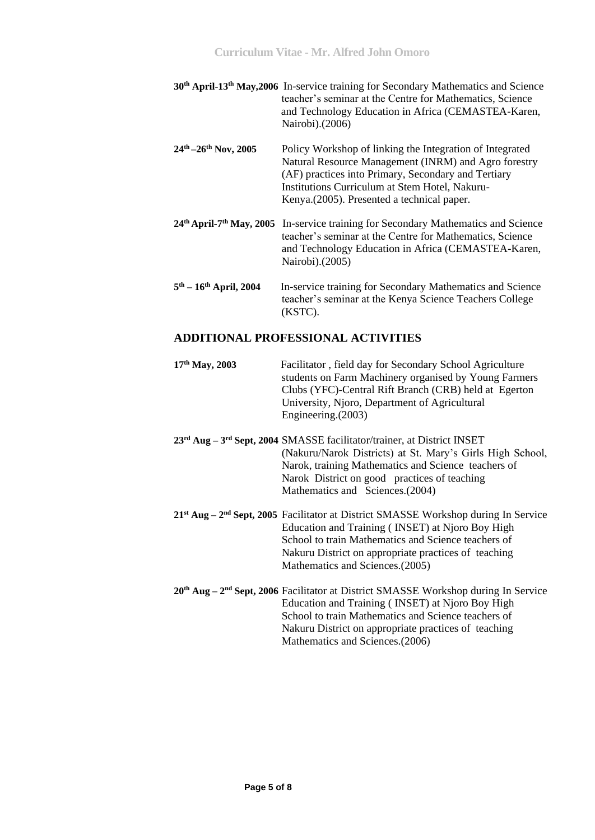|                               | 30 <sup>th</sup> April-13 <sup>th</sup> May, 2006 In-service training for Secondary Mathematics and Science<br>teacher's seminar at the Centre for Mathematics, Science<br>and Technology Education in Africa (CEMASTEA-Karen,<br>Nairobi).(2006)                        |
|-------------------------------|--------------------------------------------------------------------------------------------------------------------------------------------------------------------------------------------------------------------------------------------------------------------------|
| $24^{th} - 26^{th}$ Nov, 2005 | Policy Workshop of linking the Integration of Integrated<br>Natural Resource Management (INRM) and Agro forestry<br>(AF) practices into Primary, Secondary and Tertiary<br>Institutions Curriculum at Stem Hotel, Nakuru-<br>Kenya. (2005). Presented a technical paper. |
|                               | 24th April-7th May, 2005 In-service training for Secondary Mathematics and Science<br>teacher's seminar at the Centre for Mathematics, Science<br>and Technology Education in Africa (CEMASTEA-Karen,<br>Nairobi).(2005)                                                 |
| $5th - 16th$ April, 2004      | In-service training for Secondary Mathematics and Science<br>teacher's seminar at the Kenya Science Teachers College<br>(KSTC).                                                                                                                                          |

#### **ADDITIONAL PROFESSIONAL ACTIVITIES**

| $17th$ May, 2003 | Facilitator, field day for Secondary School Agriculture<br>students on Farm Machinery organised by Young Farmers<br>Clubs (YFC)-Central Rift Branch (CRB) held at Egerton<br>University, Njoro, Department of Agricultural<br>Engineering. $(2003)$ |
|------------------|-----------------------------------------------------------------------------------------------------------------------------------------------------------------------------------------------------------------------------------------------------|
|                  | $23rd$ Aug – $3rd$ Sept, 2004 SMASSE facilitator/trainer, at District INSET<br>$\Delta T$ 1 $\Delta T$ 1 $\Delta'$ $\cdots$ $\Delta$ 1 $\Delta t$ $\cdots$ $\Delta'$ 1 $\cdots$ 1 $\cdots$ 1 $\cdots$ 1                                             |

- (Nakuru/Narok Districts) at St. Mary's Girls High School, Narok, training Mathematics and Science teachers of Narok District on good practices of teaching Mathematics and Sciences.(2004)
- 21<sup>st</sup> Aug 2<sup>nd</sup> Sept, 2005 Facilitator at District SMASSE Workshop during In Service Education and Training ( INSET) at Njoro Boy High School to train Mathematics and Science teachers of Nakuru District on appropriate practices of teaching Mathematics and Sciences.(2005)
- 20<sup>th</sup> Aug 2<sup>nd</sup> Sept, 2006 Facilitator at District SMASSE Workshop during In Service Education and Training ( INSET) at Njoro Boy High School to train Mathematics and Science teachers of Nakuru District on appropriate practices of teaching Mathematics and Sciences.(2006)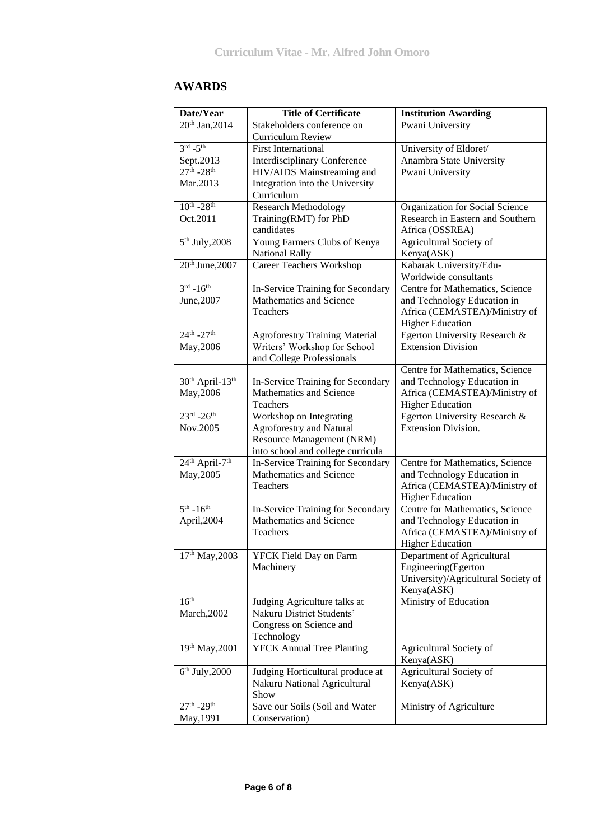## **AWARDS**

| Date/Year                              | <b>Title of Certificate</b>           | <b>Institution Awarding</b>         |
|----------------------------------------|---------------------------------------|-------------------------------------|
| 20 <sup>th</sup> Jan, 2014             | Stakeholders conference on            | Pwani University                    |
|                                        | <b>Curriculum Review</b>              |                                     |
| $3rd - 5th$                            | <b>First International</b>            | University of Eldoret/              |
| Sept.2013                              | <b>Interdisciplinary Conference</b>   | Anambra State University            |
| $27^{th} - 28^{th}$                    | HIV/AIDS Mainstreaming and            | Pwani University                    |
| Mar.2013                               | Integration into the University       |                                     |
|                                        | Curriculum                            |                                     |
| $10^{th}$ -28 <sup>th</sup>            | <b>Research Methodology</b>           | Organization for Social Science     |
| Oct.2011                               | Training(RMT) for PhD                 | Research in Eastern and Southern    |
|                                        | candidates                            | Africa (OSSREA)                     |
| $5th$ July, 2008                       | Young Farmers Clubs of Kenya          | Agricultural Society of             |
|                                        | <b>National Rally</b>                 | Kenya(ASK)                          |
| 20th June, 2007                        | <b>Career Teachers Workshop</b>       | Kabarak University/Edu-             |
|                                        |                                       | Worldwide consultants               |
| $3^{\text{rd}}$ -16 <sup>th</sup>      | In-Service Training for Secondary     | Centre for Mathematics, Science     |
| June, 2007                             | Mathematics and Science               | and Technology Education in         |
|                                        | <b>Teachers</b>                       | Africa (CEMASTEA)/Ministry of       |
|                                        |                                       | <b>Higher Education</b>             |
| $24^{th} - 27^{th}$                    | <b>Agroforestry Training Material</b> | Egerton University Research &       |
| May, 2006                              | Writers' Workshop for School          | <b>Extension Division</b>           |
|                                        | and College Professionals             |                                     |
|                                        |                                       | Centre for Mathematics, Science     |
| $30th$ April-13 <sup>th</sup>          | In-Service Training for Secondary     | and Technology Education in         |
| May, 2006                              | Mathematics and Science               | Africa (CEMASTEA)/Ministry of       |
|                                        | Teachers                              | <b>Higher Education</b>             |
| $23^{rd} - 26^{th}$                    | Workshop on Integrating               | Egerton University Research &       |
| Nov.2005                               | Agroforestry and Natural              | <b>Extension Division.</b>          |
|                                        | Resource Management (NRM)             |                                     |
|                                        | into school and college curricula     |                                     |
| 24 <sup>th</sup> April-7 <sup>th</sup> | In-Service Training for Secondary     | Centre for Mathematics, Science     |
| May, 2005                              | Mathematics and Science               | and Technology Education in         |
|                                        | Teachers                              | Africa (CEMASTEA)/Ministry of       |
|                                        |                                       | <b>Higher Education</b>             |
| $5^{th} - 16^{th}$                     | In-Service Training for Secondary     | Centre for Mathematics, Science     |
| April,2004                             | Mathematics and Science               | and Technology Education in         |
|                                        | Teachers                              | Africa (CEMASTEA)/Ministry of       |
|                                        |                                       | <b>Higher Education</b>             |
| $17th$ May, 2003                       | YFCK Field Day on Farm                | Department of Agricultural          |
|                                        | Machinery                             | Engineering(Egerton                 |
|                                        |                                       | University)/Agricultural Society of |
|                                        |                                       | Kenya(ASK)                          |
| 16 <sup>th</sup>                       | Judging Agriculture talks at          | Ministry of Education               |
| March, 2002                            | Nakuru District Students'             |                                     |
|                                        | Congress on Science and               |                                     |
|                                        | Technology                            |                                     |
| 19th May, 2001                         | <b>YFCK Annual Tree Planting</b>      | Agricultural Society of             |
|                                        |                                       | Kenya(ASK)                          |
| $6th$ July, 2000                       | Judging Horticultural produce at      | Agricultural Society of             |
|                                        | Nakuru National Agricultural          | Kenya(ASK)                          |
|                                        | Show                                  |                                     |
| $27^{th}$ -29 <sup>th</sup>            | Save our Soils (Soil and Water        | Ministry of Agriculture             |
| May, 1991                              | Conservation)                         |                                     |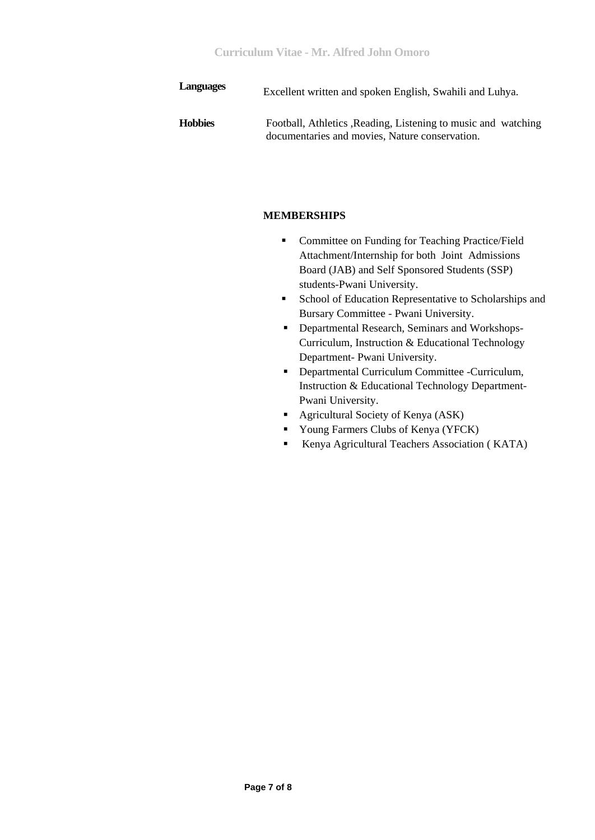| <b>Languages</b> | Excellent written and spoken English, Swahili and Luhya.                                                         |
|------------------|------------------------------------------------------------------------------------------------------------------|
| <b>Hobbies</b>   | Football, Athletics , Reading, Listening to music and watching<br>documentaries and movies, Nature conservation. |

#### **MEMBERSHIPS**

- **•** Committee on Funding for Teaching Practice/Field Attachment/Internship for both Joint Admissions Board (JAB) and Self Sponsored Students (SSP) students-Pwani University.
- **School of Education Representative to Scholarships and** Bursary Committee - Pwani University.
- **•** Departmental Research, Seminars and Workshops-Curriculum, Instruction & Educational Technology Department- Pwani University.
- **-** Departmental Curriculum Committee -Curriculum, Instruction & Educational Technology Department-Pwani University.
- **Agricultural Society of Kenya (ASK)**
- Young Farmers Clubs of Kenya (YFCK)
- Kenya Agricultural Teachers Association ( KATA)